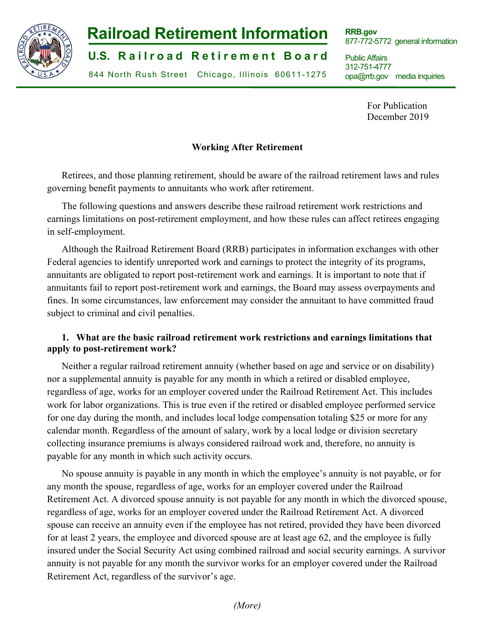

# **Railroad Retirement Information**

**U.S. Railroad Retirement Board** 

844 North Rush Street Chicago, Illinois 60611-1275

**RRB.gov**  877-772-5772 general information

Public Affairs 312-751-4777 opa@rrb.gov media inquiries

> For Publication December 2019

## **Working After Retirement**

Retirees, and those planning retirement, should be aware of the railroad retirement laws and rules governing benefit payments to annuitants who work after retirement.

The following questions and answers describe these railroad retirement work restrictions and earnings limitations on post-retirement employment, and how these rules can affect retirees engaging in self-employment.

Although the Railroad Retirement Board (RRB) participates in information exchanges with other Federal agencies to identify unreported work and earnings to protect the integrity of its programs, annuitants are obligated to report post-retirement work and earnings. It is important to note that if annuitants fail to report post-retirement work and earnings, the Board may assess overpayments and fines. In some circumstances, law enforcement may consider the annuitant to have committed fraud subject to criminal and civil penalties.

## **1. What are the basic railroad retirement work restrictions and earnings limitations that apply to post-retirement work?**

Neither a regular railroad retirement annuity (whether based on age and service or on disability) nor a supplemental annuity is payable for any month in which a retired or disabled employee, regardless of age, works for an employer covered under the Railroad Retirement Act. This includes work for labor organizations. This is true even if the retired or disabled employee performed service for one day during the month, and includes local lodge compensation totaling \$25 or more for any calendar month. Regardless of the amount of salary, work by a local lodge or division secretary collecting insurance premiums is always considered railroad work and, therefore, no annuity is payable for any month in which such activity occurs.

No spouse annuity is payable in any month in which the employee's annuity is not payable, or for any month the spouse, regardless of age, works for an employer covered under the Railroad Retirement Act. A divorced spouse annuity is not payable for any month in which the divorced spouse, regardless of age, works for an employer covered under the Railroad Retirement Act. A divorced spouse can receive an annuity even if the employee has not retired, provided they have been divorced for at least 2 years, the employee and divorced spouse are at least age 62, and the employee is fully insured under the Social Security Act using combined railroad and social security earnings. A survivor annuity is not payable for any month the survivor works for an employer covered under the Railroad Retirement Act, regardless of the survivor's age.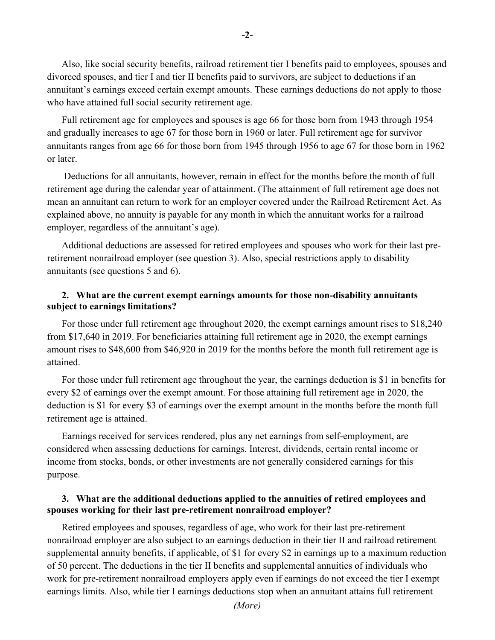Also, like social security benefits, railroad retirement tier I benefits paid to employees, spouses and divorced spouses, and tier I and tier II benefits paid to survivors, are subject to deductions if an annuitant's earnings exceed certain exempt amounts. These earnings deductions do not apply to those who have attained full social security retirement age.

Full retirement age for employees and spouses is age 66 for those born from 1943 through 1954 and gradually increases to age 67 for those born in 1960 or later. Full retirement age for survivor annuitants ranges from age 66 for those born from 1945 through 1956 to age 67 for those born in 1962 or later.

 Deductions for all annuitants, however, remain in effect for the months before the month of full retirement age during the calendar year of attainment. (The attainment of full retirement age does not mean an annuitant can return to work for an employer covered under the Railroad Retirement Act. As explained above, no annuity is payable for any month in which the annuitant works for a railroad employer, regardless of the annuitant's age).

Additional deductions are assessed for retired employees and spouses who work for their last preretirement nonrailroad employer (see question 3). Also, special restrictions apply to disability annuitants (see questions 5 and 6).

## **2. What are the current exempt earnings amounts for those non-disability annuitants subject to earnings limitations?**

For those under full retirement age throughout 2020, the exempt earnings amount rises to \$18,240 from \$17,640 in 2019. For beneficiaries attaining full retirement age in 2020, the exempt earnings amount rises to \$48,600 from \$46,920 in 2019 for the months before the month full retirement age is attained.

For those under full retirement age throughout the year, the earnings deduction is \$1 in benefits for every \$2 of earnings over the exempt amount. For those attaining full retirement age in 2020, the deduction is \$1 for every \$3 of earnings over the exempt amount in the months before the month full retirement age is attained.

Earnings received for services rendered, plus any net earnings from self-employment, are considered when assessing deductions for earnings. Interest, dividends, certain rental income or income from stocks, bonds, or other investments are not generally considered earnings for this purpose.

## **3. What are the additional deductions applied to the annuities of retired employees and spouses working for their last pre-retirement nonrailroad employer?**

Retired employees and spouses, regardless of age, who work for their last pre-retirement nonrailroad employer are also subject to an earnings deduction in their tier II and railroad retirement supplemental annuity benefits, if applicable, of \$1 for every \$2 in earnings up to a maximum reduction of 50 percent. The deductions in the tier II benefits and supplemental annuities of individuals who work for pre-retirement nonrailroad employers apply even if earnings do not exceed the tier I exempt earnings limits. Also, while tier I earnings deductions stop when an annuitant attains full retirement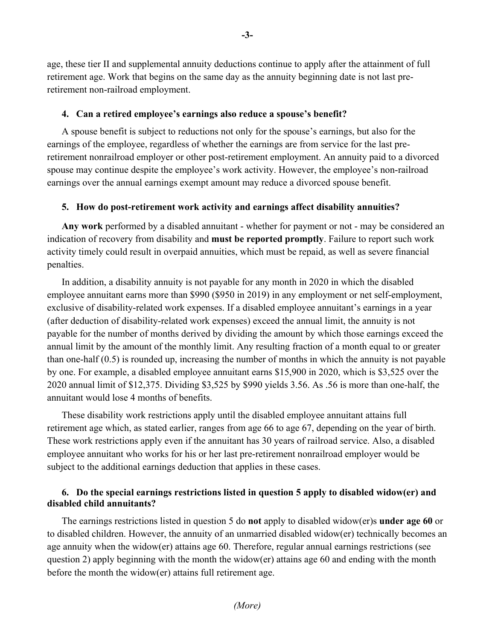age, these tier II and supplemental annuity deductions continue to apply after the attainment of full retirement age. Work that begins on the same day as the annuity beginning date is not last preretirement non-railroad employment.

#### **4. Can a retired employee's earnings also reduce a spouse's benefit?**

A spouse benefit is subject to reductions not only for the spouse's earnings, but also for the earnings of the employee, regardless of whether the earnings are from service for the last preretirement nonrailroad employer or other post-retirement employment. An annuity paid to a divorced spouse may continue despite the employee's work activity. However, the employee's non-railroad earnings over the annual earnings exempt amount may reduce a divorced spouse benefit.

#### **5. How do post-retirement work activity and earnings affect disability annuities?**

**Any work** performed by a disabled annuitant - whether for payment or not - may be considered an indication of recovery from disability and **must be reported promptly**. Failure to report such work activity timely could result in overpaid annuities, which must be repaid, as well as severe financial penalties.

In addition, a disability annuity is not payable for any month in 2020 in which the disabled employee annuitant earns more than \$990 (\$950 in 2019) in any employment or net self-employment, exclusive of disability-related work expenses. If a disabled employee annuitant's earnings in a year (after deduction of disability-related work expenses) exceed the annual limit, the annuity is not payable for the number of months derived by dividing the amount by which those earnings exceed the annual limit by the amount of the monthly limit. Any resulting fraction of a month equal to or greater than one-half (0.5) is rounded up, increasing the number of months in which the annuity is not payable by one. For example, a disabled employee annuitant earns \$15,900 in 2020, which is \$3,525 over the 2020 annual limit of \$12,375. Dividing \$3,525 by \$990 yields 3.56. As .56 is more than one-half, the annuitant would lose 4 months of benefits.

These disability work restrictions apply until the disabled employee annuitant attains full retirement age which, as stated earlier, ranges from age 66 to age 67, depending on the year of birth. These work restrictions apply even if the annuitant has 30 years of railroad service. Also, a disabled employee annuitant who works for his or her last pre-retirement nonrailroad employer would be subject to the additional earnings deduction that applies in these cases.

## **6. Do the special earnings restrictions listed in question 5 apply to disabled widow(er) and disabled child annuitants?**

The earnings restrictions listed in question 5 do **not** apply to disabled widow(er)s **under age 60** or to disabled children. However, the annuity of an unmarried disabled widow(er) technically becomes an age annuity when the widow(er) attains age 60. Therefore, regular annual earnings restrictions (see question 2) apply beginning with the month the widow(er) attains age 60 and ending with the month before the month the widow(er) attains full retirement age.

**-3-**